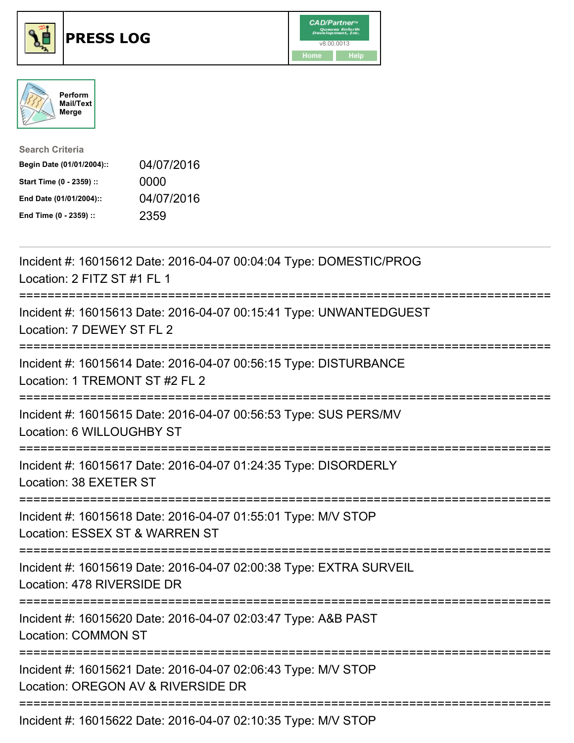





| <b>Search Criteria</b>    |            |
|---------------------------|------------|
| Begin Date (01/01/2004):: | 04/07/2016 |
| Start Time (0 - 2359) ::  | 0000       |
| End Date (01/01/2004)::   | 04/07/2016 |
| End Time (0 - 2359) ::    | 2359       |

| Incident #: 16015612 Date: 2016-04-07 00:04:04 Type: DOMESTIC/PROG<br>Location: 2 FITZ ST #1 FL 1<br>----------------                          |
|------------------------------------------------------------------------------------------------------------------------------------------------|
| Incident #: 16015613 Date: 2016-04-07 00:15:41 Type: UNWANTEDGUEST<br>Location: 7 DEWEY ST FL 2<br>===================                         |
| Incident #: 16015614 Date: 2016-04-07 00:56:15 Type: DISTURBANCE<br>Location: 1 TREMONT ST #2 FL 2<br>============                             |
| Incident #: 16015615 Date: 2016-04-07 00:56:53 Type: SUS PERS/MV<br>Location: 6 WILLOUGHBY ST<br>=================================             |
| Incident #: 16015617 Date: 2016-04-07 01:24:35 Type: DISORDERLY<br>Location: 38 EXETER ST<br>:===================================              |
| Incident #: 16015618 Date: 2016-04-07 01:55:01 Type: M/V STOP<br>Location: ESSEX ST & WARREN ST<br>:=========================<br>------------- |
| Incident #: 16015619 Date: 2016-04-07 02:00:38 Type: EXTRA SURVEIL<br>Location: 478 RIVERSIDE DR                                               |
| Incident #: 16015620 Date: 2016-04-07 02:03:47 Type: A&B PAST<br><b>Location: COMMON ST</b>                                                    |
| Incident #: 16015621 Date: 2016-04-07 02:06:43 Type: M/V STOP<br>Location: OREGON AV & RIVERSIDE DR                                            |
| Incident #: 16015622 Date: 2016-04-07 02:10:35 Type: M/V STOP                                                                                  |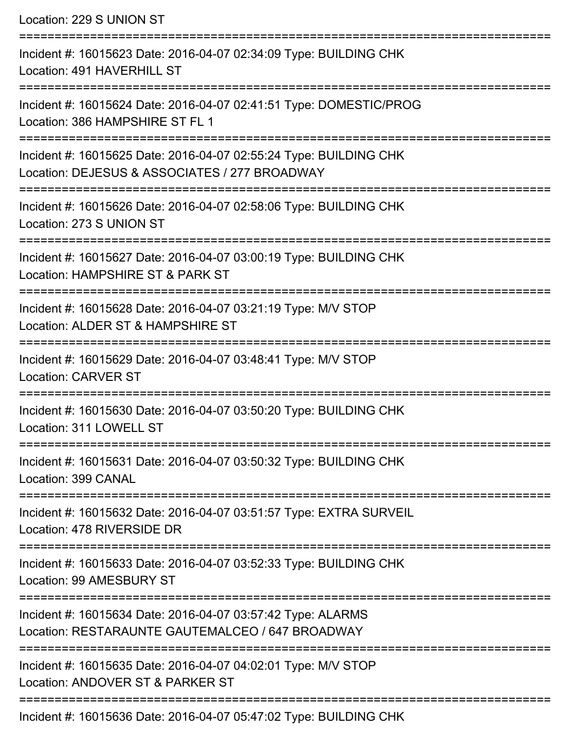Location: 229 S UNION ST =========================================================================== Incident #: 16015623 Date: 2016-04-07 02:34:09 Type: BUILDING CHK Location: 491 HAVERHILL ST =========================================================================== Incident #: 16015624 Date: 2016-04-07 02:41:51 Type: DOMESTIC/PROG Location: 386 HAMPSHIRE ST FL 1 =========================================================================== Incident #: 16015625 Date: 2016-04-07 02:55:24 Type: BUILDING CHK Location: DEJESUS & ASSOCIATES / 277 BROADWAY =========================================================================== Incident #: 16015626 Date: 2016-04-07 02:58:06 Type: BUILDING CHK Location: 273 S UNION ST =========================================================================== Incident #: 16015627 Date: 2016-04-07 03:00:19 Type: BUILDING CHK Location: HAMPSHIRE ST & PARK ST =========================================================================== Incident #: 16015628 Date: 2016-04-07 03:21:19 Type: M/V STOP Location: ALDER ST & HAMPSHIRE ST =========================================================================== Incident #: 16015629 Date: 2016-04-07 03:48:41 Type: M/V STOP Location: CARVER ST =========================================================================== Incident #: 16015630 Date: 2016-04-07 03:50:20 Type: BUILDING CHK Location: 311 LOWELL ST =========================================================================== Incident #: 16015631 Date: 2016-04-07 03:50:32 Type: BUILDING CHK Location: 399 CANAL =========================================================================== Incident #: 16015632 Date: 2016-04-07 03:51:57 Type: EXTRA SURVEIL Location: 478 RIVERSIDE DR =========================================================================== Incident #: 16015633 Date: 2016-04-07 03:52:33 Type: BUILDING CHK Location: 99 AMESBURY ST =========================================================================== Incident #: 16015634 Date: 2016-04-07 03:57:42 Type: ALARMS Location: RESTARAUNTE GAUTEMALCEO / 647 BROADWAY =========================================================================== Incident #: 16015635 Date: 2016-04-07 04:02:01 Type: M/V STOP Location: ANDOVER ST & PARKER ST =========================================================================== Incident #: 16015636 Date: 2016-04-07 05:47:02 Type: BUILDING CHK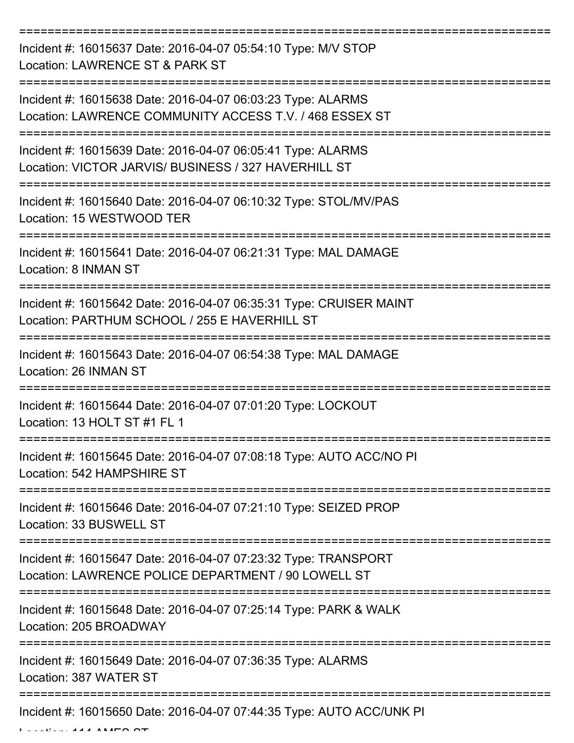| Incident #: 16015637 Date: 2016-04-07 05:54:10 Type: M/V STOP<br>Location: LAWRENCE ST & PARK ST                       |
|------------------------------------------------------------------------------------------------------------------------|
| Incident #: 16015638 Date: 2016-04-07 06:03:23 Type: ALARMS<br>Location: LAWRENCE COMMUNITY ACCESS T.V. / 468 ESSEX ST |
| Incident #: 16015639 Date: 2016-04-07 06:05:41 Type: ALARMS<br>Location: VICTOR JARVIS/ BUSINESS / 327 HAVERHILL ST    |
| Incident #: 16015640 Date: 2016-04-07 06:10:32 Type: STOL/MV/PAS<br>Location: 15 WESTWOOD TER                          |
| Incident #: 16015641 Date: 2016-04-07 06:21:31 Type: MAL DAMAGE<br>Location: 8 INMAN ST                                |
| Incident #: 16015642 Date: 2016-04-07 06:35:31 Type: CRUISER MAINT<br>Location: PARTHUM SCHOOL / 255 E HAVERHILL ST    |
| Incident #: 16015643 Date: 2016-04-07 06:54:38 Type: MAL DAMAGE<br>Location: 26 INMAN ST                               |
| Incident #: 16015644 Date: 2016-04-07 07:01:20 Type: LOCKOUT<br>Location: 13 HOLT ST #1 FL 1                           |
| Incident #: 16015645 Date: 2016-04-07 07:08:18 Type: AUTO ACC/NO PI<br>Location: 542 HAMPSHIRE ST                      |
| Incident #: 16015646 Date: 2016-04-07 07:21:10 Type: SEIZED PROP<br>Location: 33 BUSWELL ST                            |
| Incident #: 16015647 Date: 2016-04-07 07:23:32 Type: TRANSPORT<br>Location: LAWRENCE POLICE DEPARTMENT / 90 LOWELL ST  |
| Incident #: 16015648 Date: 2016-04-07 07:25:14 Type: PARK & WALK<br>Location: 205 BROADWAY                             |
| Incident #: 16015649 Date: 2016-04-07 07:36:35 Type: ALARMS<br>Location: 387 WATER ST                                  |
| Incident #: 16015650 Date: 2016-04-07 07:44:35 Type: AUTO ACC/UNK PI                                                   |

Location: 114 AMES ST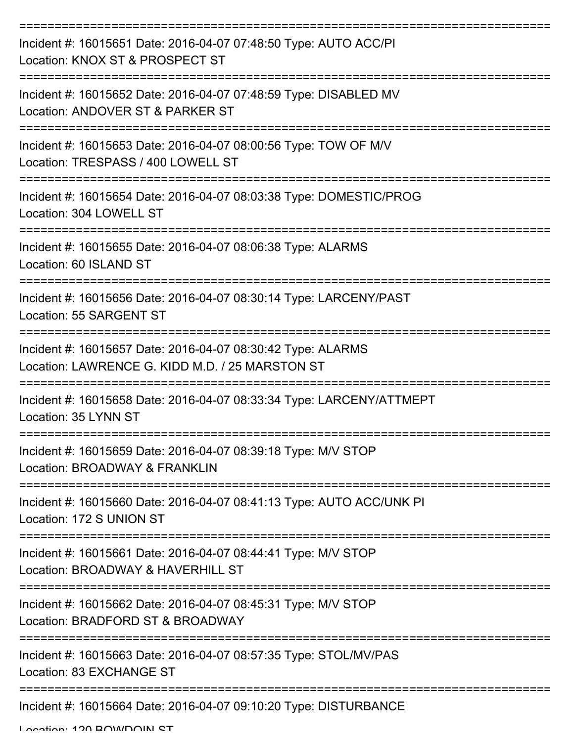| Incident #: 16015651 Date: 2016-04-07 07:48:50 Type: AUTO ACC/PI<br>Location: KNOX ST & PROSPECT ST            |
|----------------------------------------------------------------------------------------------------------------|
| Incident #: 16015652 Date: 2016-04-07 07:48:59 Type: DISABLED MV<br>Location: ANDOVER ST & PARKER ST           |
| Incident #: 16015653 Date: 2016-04-07 08:00:56 Type: TOW OF M/V<br>Location: TRESPASS / 400 LOWELL ST          |
| Incident #: 16015654 Date: 2016-04-07 08:03:38 Type: DOMESTIC/PROG<br>Location: 304 LOWELL ST                  |
| Incident #: 16015655 Date: 2016-04-07 08:06:38 Type: ALARMS<br>Location: 60 ISLAND ST                          |
| Incident #: 16015656 Date: 2016-04-07 08:30:14 Type: LARCENY/PAST<br>Location: 55 SARGENT ST                   |
| Incident #: 16015657 Date: 2016-04-07 08:30:42 Type: ALARMS<br>Location: LAWRENCE G. KIDD M.D. / 25 MARSTON ST |
| Incident #: 16015658 Date: 2016-04-07 08:33:34 Type: LARCENY/ATTMEPT<br>Location: 35 LYNN ST                   |
| Incident #: 16015659 Date: 2016-04-07 08:39:18 Type: M/V STOP<br>Location: BROADWAY & FRANKLIN                 |
| Incident #: 16015660 Date: 2016-04-07 08:41:13 Type: AUTO ACC/UNK PI<br>Location: 172 S UNION ST               |
| Incident #: 16015661 Date: 2016-04-07 08:44:41 Type: M/V STOP<br>Location: BROADWAY & HAVERHILL ST             |
| Incident #: 16015662 Date: 2016-04-07 08:45:31 Type: M/V STOP<br>Location: BRADFORD ST & BROADWAY              |
| Incident #: 16015663 Date: 2016-04-07 08:57:35 Type: STOL/MV/PAS<br>Location: 83 EXCHANGE ST                   |
| Incident #: 16015664 Date: 2016-04-07 09:10:20 Type: DISTURBANCE                                               |

Location: 120 BOWDOIN ST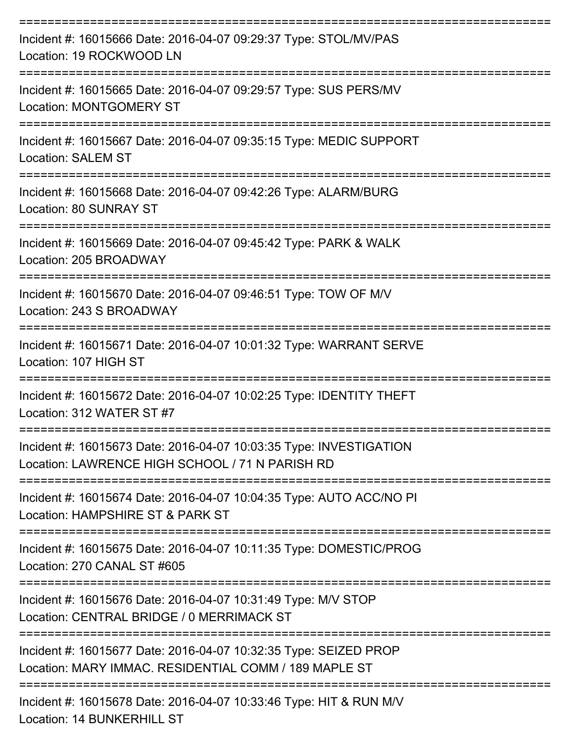| Incident #: 16015666 Date: 2016-04-07 09:29:37 Type: STOL/MV/PAS<br>Location: 19 ROCKWOOD LN                                                                     |
|------------------------------------------------------------------------------------------------------------------------------------------------------------------|
| Incident #: 16015665 Date: 2016-04-07 09:29:57 Type: SUS PERS/MV<br><b>Location: MONTGOMERY ST</b>                                                               |
| Incident #: 16015667 Date: 2016-04-07 09:35:15 Type: MEDIC SUPPORT<br><b>Location: SALEM ST</b>                                                                  |
| Incident #: 16015668 Date: 2016-04-07 09:42:26 Type: ALARM/BURG<br>Location: 80 SUNRAY ST                                                                        |
| Incident #: 16015669 Date: 2016-04-07 09:45:42 Type: PARK & WALK<br>Location: 205 BROADWAY                                                                       |
| Incident #: 16015670 Date: 2016-04-07 09:46:51 Type: TOW OF M/V<br>Location: 243 S BROADWAY                                                                      |
| Incident #: 16015671 Date: 2016-04-07 10:01:32 Type: WARRANT SERVE<br>Location: 107 HIGH ST                                                                      |
| Incident #: 16015672 Date: 2016-04-07 10:02:25 Type: IDENTITY THEFT<br>Location: 312 WATER ST #7<br>:======================<br>--------------------------------- |
| Incident #: 16015673 Date: 2016-04-07 10:03:35 Type: INVESTIGATION<br>Location: LAWRENCE HIGH SCHOOL / 71 N PARISH RD                                            |
| Incident #: 16015674 Date: 2016-04-07 10:04:35 Type: AUTO ACC/NO PI<br>Location: HAMPSHIRE ST & PARK ST                                                          |
| Incident #: 16015675 Date: 2016-04-07 10:11:35 Type: DOMESTIC/PROG<br>Location: 270 CANAL ST #605                                                                |
| Incident #: 16015676 Date: 2016-04-07 10:31:49 Type: M/V STOP<br>Location: CENTRAL BRIDGE / 0 MERRIMACK ST                                                       |
| Incident #: 16015677 Date: 2016-04-07 10:32:35 Type: SEIZED PROP<br>Location: MARY IMMAC. RESIDENTIAL COMM / 189 MAPLE ST                                        |
| Incident #: 16015678 Date: 2016-04-07 10:33:46 Type: HIT & RUN M/V<br>Location: 14 BUNKERHILL ST                                                                 |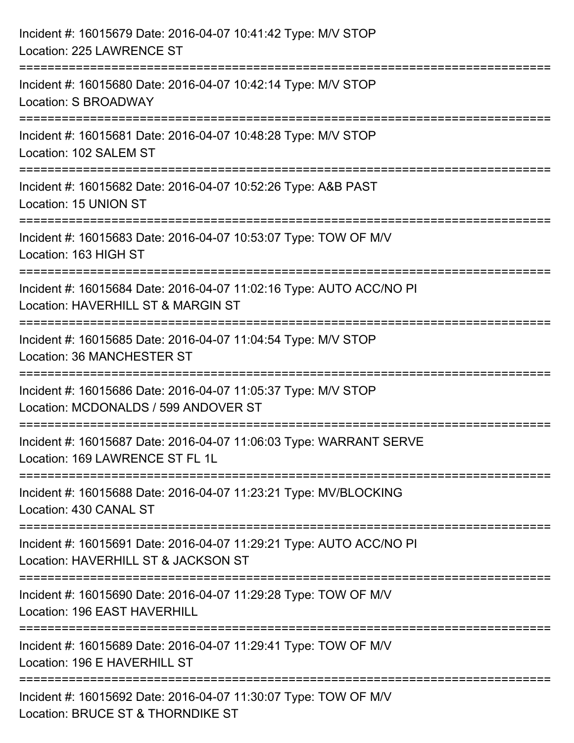| Incident #: 16015679 Date: 2016-04-07 10:41:42 Type: M/V STOP<br>Location: 225 LAWRENCE ST                                                                  |
|-------------------------------------------------------------------------------------------------------------------------------------------------------------|
| ================================<br>Incident #: 16015680 Date: 2016-04-07 10:42:14 Type: M/V STOP<br>Location: S BROADWAY                                   |
| =================================<br>Incident #: 16015681 Date: 2016-04-07 10:48:28 Type: M/V STOP<br>Location: 102 SALEM ST                                |
| Incident #: 16015682 Date: 2016-04-07 10:52:26 Type: A&B PAST<br>Location: 15 UNION ST                                                                      |
| :=====================================<br>Incident #: 16015683 Date: 2016-04-07 10:53:07 Type: TOW OF M/V<br>Location: 163 HIGH ST                          |
| Incident #: 16015684 Date: 2016-04-07 11:02:16 Type: AUTO ACC/NO PI<br>Location: HAVERHILL ST & MARGIN ST<br>---------------------------<br>--------------- |
| Incident #: 16015685 Date: 2016-04-07 11:04:54 Type: M/V STOP<br>Location: 36 MANCHESTER ST                                                                 |
| Incident #: 16015686 Date: 2016-04-07 11:05:37 Type: M/V STOP<br>Location: MCDONALDS / 599 ANDOVER ST                                                       |
| Incident #: 16015687 Date: 2016-04-07 11:06:03 Type: WARRANT SERVE<br>Location: 169 LAWRENCE ST FL 1L                                                       |
| Incident #: 16015688 Date: 2016-04-07 11:23:21 Type: MV/BLOCKING<br>Location: 430 CANAL ST                                                                  |
| Incident #: 16015691 Date: 2016-04-07 11:29:21 Type: AUTO ACC/NO PI<br>Location: HAVERHILL ST & JACKSON ST                                                  |
| Incident #: 16015690 Date: 2016-04-07 11:29:28 Type: TOW OF M/V<br>Location: 196 EAST HAVERHILL                                                             |
| Incident #: 16015689 Date: 2016-04-07 11:29:41 Type: TOW OF M/V<br>Location: 196 E HAVERHILL ST                                                             |
| Incident #: 16015692 Date: 2016-04-07 11:30:07 Type: TOW OF M/V<br>Location: BRUCE ST & THORNDIKE ST                                                        |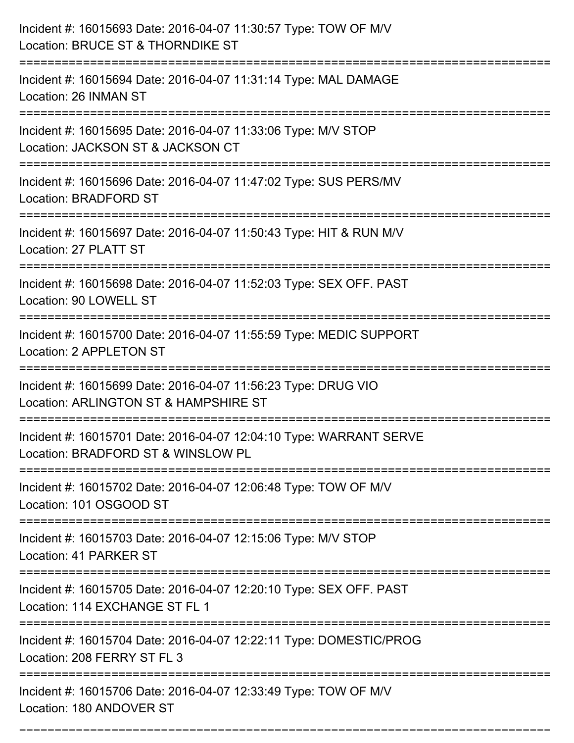| Incident #: 16015693 Date: 2016-04-07 11:30:57 Type: TOW OF M/V<br>Location: BRUCE ST & THORNDIKE ST                                 |
|--------------------------------------------------------------------------------------------------------------------------------------|
| Incident #: 16015694 Date: 2016-04-07 11:31:14 Type: MAL DAMAGE<br>Location: 26 INMAN ST                                             |
| Incident #: 16015695 Date: 2016-04-07 11:33:06 Type: M/V STOP<br>Location: JACKSON ST & JACKSON CT<br>============================== |
| Incident #: 16015696 Date: 2016-04-07 11:47:02 Type: SUS PERS/MV<br><b>Location: BRADFORD ST</b>                                     |
| Incident #: 16015697 Date: 2016-04-07 11:50:43 Type: HIT & RUN M/V<br>Location: 27 PLATT ST                                          |
| Incident #: 16015698 Date: 2016-04-07 11:52:03 Type: SEX OFF. PAST<br>Location: 90 LOWELL ST                                         |
| Incident #: 16015700 Date: 2016-04-07 11:55:59 Type: MEDIC SUPPORT<br><b>Location: 2 APPLETON ST</b>                                 |
| Incident #: 16015699 Date: 2016-04-07 11:56:23 Type: DRUG VIO<br>Location: ARLINGTON ST & HAMPSHIRE ST                               |
| Incident #: 16015701 Date: 2016-04-07 12:04:10 Type: WARRANT SERVE<br>Location: BRADFORD ST & WINSLOW PL                             |
| Incident #: 16015702 Date: 2016-04-07 12:06:48 Type: TOW OF M/V<br>Location: 101 OSGOOD ST                                           |
| Incident #: 16015703 Date: 2016-04-07 12:15:06 Type: M/V STOP<br>Location: 41 PARKER ST                                              |
| Incident #: 16015705 Date: 2016-04-07 12:20:10 Type: SEX OFF. PAST<br>Location: 114 EXCHANGE ST FL 1                                 |
| Incident #: 16015704 Date: 2016-04-07 12:22:11 Type: DOMESTIC/PROG<br>Location: 208 FERRY ST FL 3                                    |
| Incident #: 16015706 Date: 2016-04-07 12:33:49 Type: TOW OF M/V<br>Location: 180 ANDOVER ST                                          |

===========================================================================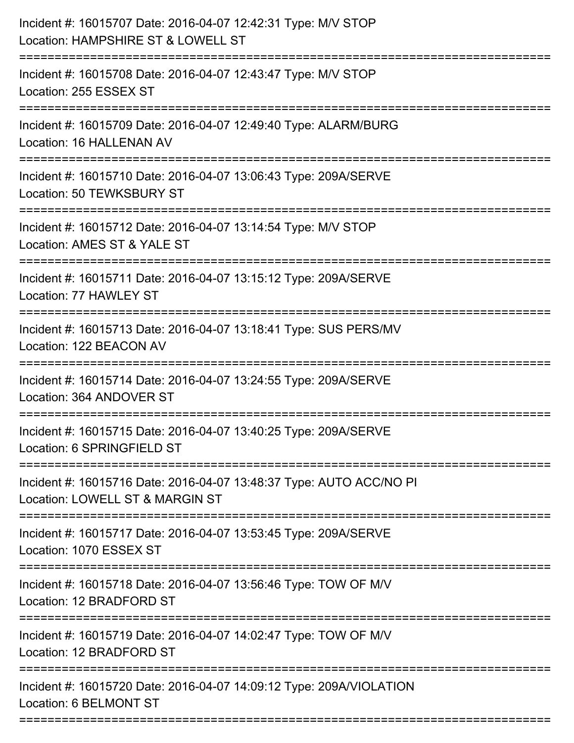| Incident #: 16015707 Date: 2016-04-07 12:42:31 Type: M/V STOP<br>Location: HAMPSHIRE ST & LOWELL ST                                |
|------------------------------------------------------------------------------------------------------------------------------------|
| Incident #: 16015708 Date: 2016-04-07 12:43:47 Type: M/V STOP<br>Location: 255 ESSEX ST                                            |
| Incident #: 16015709 Date: 2016-04-07 12:49:40 Type: ALARM/BURG<br>Location: 16 HALLENAN AV<br>=================================== |
| Incident #: 16015710 Date: 2016-04-07 13:06:43 Type: 209A/SERVE<br>Location: 50 TEWKSBURY ST                                       |
| Incident #: 16015712 Date: 2016-04-07 13:14:54 Type: M/V STOP<br>Location: AMES ST & YALE ST                                       |
| Incident #: 16015711 Date: 2016-04-07 13:15:12 Type: 209A/SERVE<br>Location: 77 HAWLEY ST                                          |
| Incident #: 16015713 Date: 2016-04-07 13:18:41 Type: SUS PERS/MV<br>Location: 122 BEACON AV                                        |
| Incident #: 16015714 Date: 2016-04-07 13:24:55 Type: 209A/SERVE<br>Location: 364 ANDOVER ST                                        |
| Incident #: 16015715 Date: 2016-04-07 13:40:25 Type: 209A/SERVE<br>Location: 6 SPRINGFIELD ST                                      |
| Incident #: 16015716 Date: 2016-04-07 13:48:37 Type: AUTO ACC/NO PI<br>Location: LOWELL ST & MARGIN ST                             |
| Incident #: 16015717 Date: 2016-04-07 13:53:45 Type: 209A/SERVE<br>Location: 1070 ESSEX ST                                         |
| Incident #: 16015718 Date: 2016-04-07 13:56:46 Type: TOW OF M/V<br>Location: 12 BRADFORD ST                                        |
| Incident #: 16015719 Date: 2016-04-07 14:02:47 Type: TOW OF M/V<br>Location: 12 BRADFORD ST                                        |
| Incident #: 16015720 Date: 2016-04-07 14:09:12 Type: 209A/VIOLATION<br>Location: 6 BELMONT ST                                      |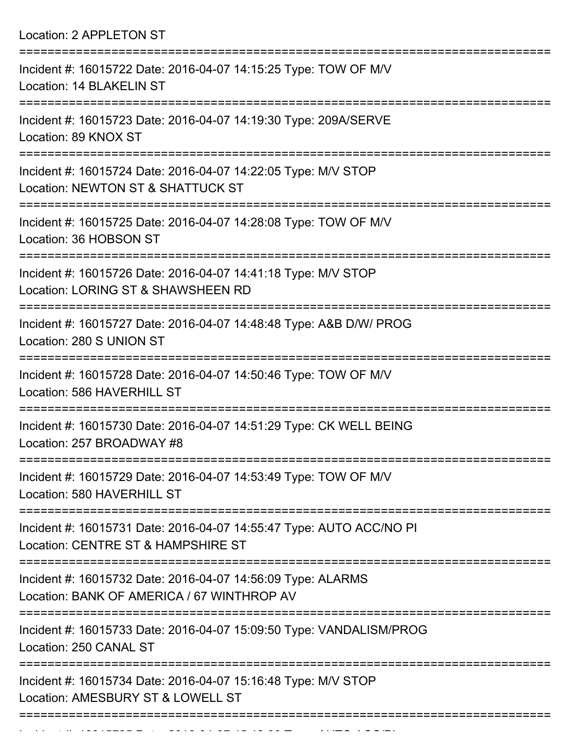Location: 2 APPLETON ST

| Incident #: 16015722 Date: 2016-04-07 14:15:25 Type: TOW OF M/V<br>Location: 14 BLAKELIN ST                                            |
|----------------------------------------------------------------------------------------------------------------------------------------|
| Incident #: 16015723 Date: 2016-04-07 14:19:30 Type: 209A/SERVE<br>Location: 89 KNOX ST                                                |
| Incident #: 16015724 Date: 2016-04-07 14:22:05 Type: M/V STOP<br>Location: NEWTON ST & SHATTUCK ST<br>=====================            |
| Incident #: 16015725 Date: 2016-04-07 14:28:08 Type: TOW OF M/V<br>Location: 36 HOBSON ST                                              |
| Incident #: 16015726 Date: 2016-04-07 14:41:18 Type: M/V STOP<br>Location: LORING ST & SHAWSHEEN RD                                    |
| Incident #: 16015727 Date: 2016-04-07 14:48:48 Type: A&B D/W/ PROG<br>Location: 280 S UNION ST                                         |
| =====================================<br>Incident #: 16015728 Date: 2016-04-07 14:50:46 Type: TOW OF M/V<br>Location: 586 HAVERHILL ST |
| Incident #: 16015730 Date: 2016-04-07 14:51:29 Type: CK WELL BEING<br>Location: 257 BROADWAY #8                                        |
| Incident #: 16015729 Date: 2016-04-07 14:53:49 Type: TOW OF M/V<br>Location: 580 HAVERHILL ST                                          |
| Incident #: 16015731 Date: 2016-04-07 14:55:47 Type: AUTO ACC/NO PI<br>Location: CENTRE ST & HAMPSHIRE ST                              |
| Incident #: 16015732 Date: 2016-04-07 14:56:09 Type: ALARMS<br>Location: BANK OF AMERICA / 67 WINTHROP AV                              |
| Incident #: 16015733 Date: 2016-04-07 15:09:50 Type: VANDALISM/PROG<br>Location: 250 CANAL ST                                          |
| Incident #: 16015734 Date: 2016-04-07 15:16:48 Type: M/V STOP<br>Location: AMESBURY ST & LOWELL ST                                     |
|                                                                                                                                        |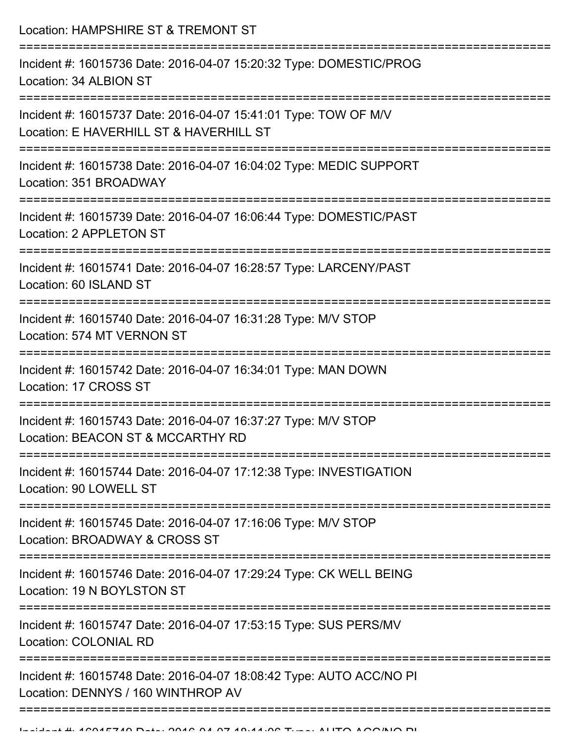Location: HAMPSHIRE ST & TREMONT ST =========================================================================== Incident #: 16015736 Date: 2016-04-07 15:20:32 Type: DOMESTIC/PROG Location: 34 ALBION ST =========================================================================== Incident #: 16015737 Date: 2016-04-07 15:41:01 Type: TOW OF M/V Location: E HAVERHILL ST & HAVERHILL ST =========================================================================== Incident #: 16015738 Date: 2016-04-07 16:04:02 Type: MEDIC SUPPORT Location: 351 BROADWAY =========================================================================== Incident #: 16015739 Date: 2016-04-07 16:06:44 Type: DOMESTIC/PAST Location: 2 APPLETON ST =========================================================================== Incident #: 16015741 Date: 2016-04-07 16:28:57 Type: LARCENY/PAST Location: 60 ISLAND ST =========================================================================== Incident #: 16015740 Date: 2016-04-07 16:31:28 Type: M/V STOP Location: 574 MT VERNON ST =========================================================================== Incident #: 16015742 Date: 2016-04-07 16:34:01 Type: MAN DOWN Location: 17 CROSS ST =========================================================================== Incident #: 16015743 Date: 2016-04-07 16:37:27 Type: M/V STOP Location: BEACON ST & MCCARTHY RD =========================================================================== Incident #: 16015744 Date: 2016-04-07 17:12:38 Type: INVESTIGATION Location: 90 LOWELL ST =========================================================================== Incident #: 16015745 Date: 2016-04-07 17:16:06 Type: M/V STOP Location: BROADWAY & CROSS ST =========================================================================== Incident #: 16015746 Date: 2016-04-07 17:29:24 Type: CK WELL BEING Location: 19 N BOYLSTON ST =========================================================================== Incident #: 16015747 Date: 2016-04-07 17:53:15 Type: SUS PERS/MV Location: COLONIAL RD =========================================================================== Incident #: 16015748 Date: 2016-04-07 18:08:42 Type: AUTO ACC/NO PI Location: DENNYS / 160 WINTHROP AV ===========================================================================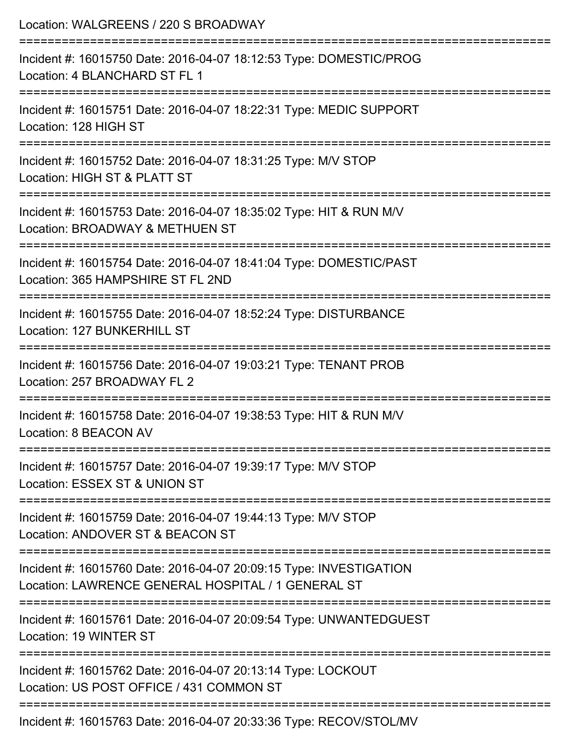| Location: WALGREENS / 220 S BROADWAY                                                                                        |
|-----------------------------------------------------------------------------------------------------------------------------|
| Incident #: 16015750 Date: 2016-04-07 18:12:53 Type: DOMESTIC/PROG<br>Location: 4 BLANCHARD ST FL 1                         |
| Incident #: 16015751 Date: 2016-04-07 18:22:31 Type: MEDIC SUPPORT<br>Location: 128 HIGH ST                                 |
| Incident #: 16015752 Date: 2016-04-07 18:31:25 Type: M/V STOP<br>Location: HIGH ST & PLATT ST                               |
| Incident #: 16015753 Date: 2016-04-07 18:35:02 Type: HIT & RUN M/V<br>Location: BROADWAY & METHUEN ST                       |
| Incident #: 16015754 Date: 2016-04-07 18:41:04 Type: DOMESTIC/PAST<br>Location: 365 HAMPSHIRE ST FL 2ND                     |
| :=======================<br>Incident #: 16015755 Date: 2016-04-07 18:52:24 Type: DISTURBANCE<br>Location: 127 BUNKERHILL ST |
| Incident #: 16015756 Date: 2016-04-07 19:03:21 Type: TENANT PROB<br>Location: 257 BROADWAY FL 2                             |
| Incident #: 16015758 Date: 2016-04-07 19:38:53 Type: HIT & RUN M/V<br>Location: 8 BEACON AV                                 |
| Incident #: 16015757 Date: 2016-04-07 19:39:17 Type: M/V STOP<br>Location: ESSEX ST & UNION ST                              |
| Incident #: 16015759 Date: 2016-04-07 19:44:13 Type: M/V STOP<br>Location: ANDOVER ST & BEACON ST                           |
| Incident #: 16015760 Date: 2016-04-07 20:09:15 Type: INVESTIGATION<br>Location: LAWRENCE GENERAL HOSPITAL / 1 GENERAL ST    |
| Incident #: 16015761 Date: 2016-04-07 20:09:54 Type: UNWANTEDGUEST<br>Location: 19 WINTER ST                                |
| Incident #: 16015762 Date: 2016-04-07 20:13:14 Type: LOCKOUT<br>Location: US POST OFFICE / 431 COMMON ST                    |
| Incident #: 16015763 Date: 2016-04-07 20:33:36 Type: RECOV/STOL/MV                                                          |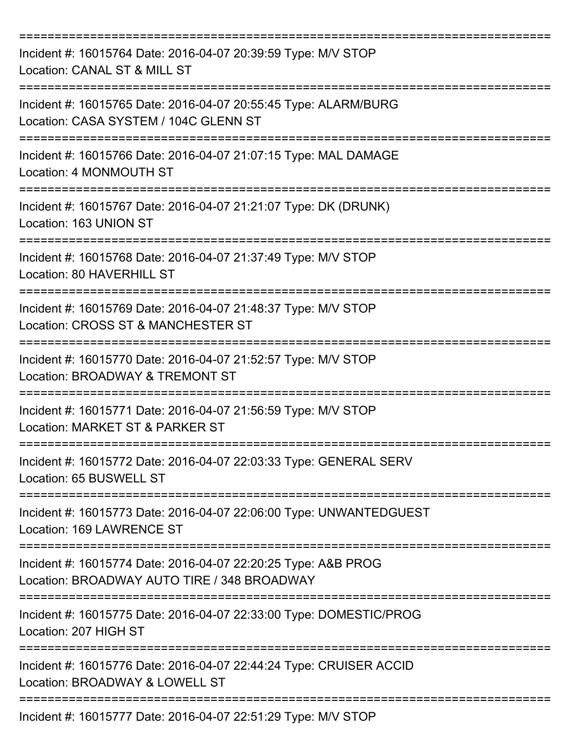| Incident #: 16015764 Date: 2016-04-07 20:39:59 Type: M/V STOP<br>Location: CANAL ST & MILL ST                |
|--------------------------------------------------------------------------------------------------------------|
| Incident #: 16015765 Date: 2016-04-07 20:55:45 Type: ALARM/BURG<br>Location: CASA SYSTEM / 104C GLENN ST     |
| Incident #: 16015766 Date: 2016-04-07 21:07:15 Type: MAL DAMAGE<br>Location: 4 MONMOUTH ST                   |
| Incident #: 16015767 Date: 2016-04-07 21:21:07 Type: DK (DRUNK)<br>Location: 163 UNION ST                    |
| Incident #: 16015768 Date: 2016-04-07 21:37:49 Type: M/V STOP<br>Location: 80 HAVERHILL ST                   |
| Incident #: 16015769 Date: 2016-04-07 21:48:37 Type: M/V STOP<br>Location: CROSS ST & MANCHESTER ST          |
| Incident #: 16015770 Date: 2016-04-07 21:52:57 Type: M/V STOP<br>Location: BROADWAY & TREMONT ST             |
| Incident #: 16015771 Date: 2016-04-07 21:56:59 Type: M/V STOP<br>Location: MARKET ST & PARKER ST             |
| Incident #: 16015772 Date: 2016-04-07 22:03:33 Type: GENERAL SERV<br>Location: 65 BUSWELL ST                 |
| Incident #: 16015773 Date: 2016-04-07 22:06:00 Type: UNWANTEDGUEST<br>Location: 169 LAWRENCE ST              |
| Incident #: 16015774 Date: 2016-04-07 22:20:25 Type: A&B PROG<br>Location: BROADWAY AUTO TIRE / 348 BROADWAY |
| Incident #: 16015775 Date: 2016-04-07 22:33:00 Type: DOMESTIC/PROG<br>Location: 207 HIGH ST                  |
| Incident #: 16015776 Date: 2016-04-07 22:44:24 Type: CRUISER ACCID<br>Location: BROADWAY & LOWELL ST         |
| Incident #: 16015777 Date: 2016-04-07 22:51:29 Type: M/V STOP                                                |